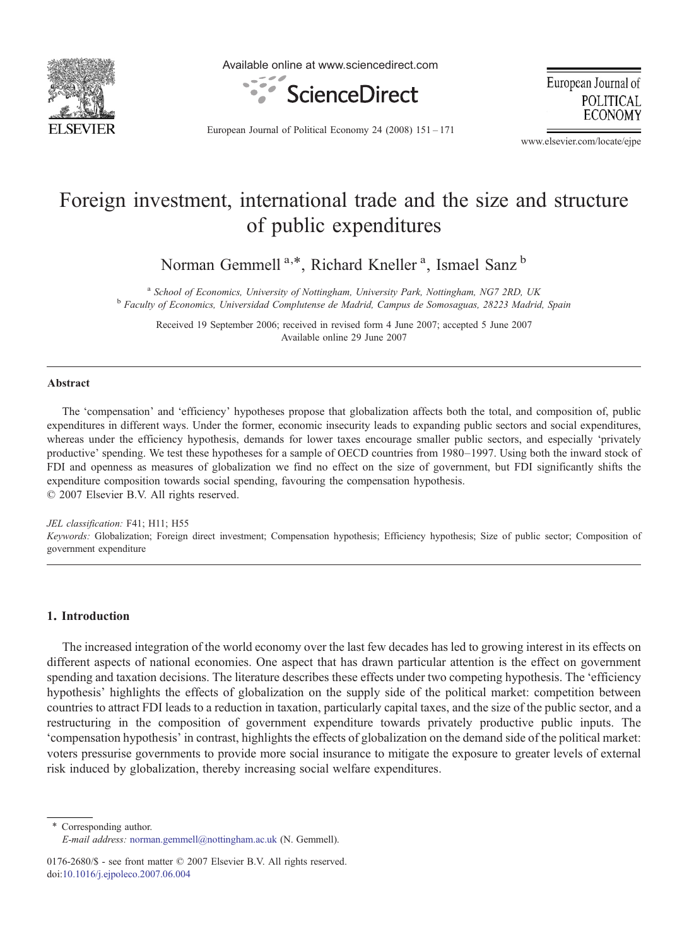

Available online at www.sciencedirect.com



European Journal of POLITICAL **ECONOMY** 

European Journal of Political Economy 24 (2008) 151–171

www.elsevier.com/locate/ejpe

## Foreign investment, international trade and the size and structure of public expenditures

Norman Gemmell<sup>a,\*</sup>, Richard Kneller<sup>a</sup>, Ismael Sanz<sup>b</sup>

<sup>a</sup> School of Economics, University of Nottingham, University Park, Nottingham, NG7 2RD, UK b Faculty of Economics, Universidad Complutense de Madrid, Campus de Somosaguas, 28223 Madrid, Spain

Received 19 September 2006; received in revised form 4 June 2007; accepted 5 June 2007 Available online 29 June 2007

## Abstract

The 'compensation' and 'efficiency' hypotheses propose that globalization affects both the total, and composition of, public expenditures in different ways. Under the former, economic insecurity leads to expanding public sectors and social expenditures, whereas under the efficiency hypothesis, demands for lower taxes encourage smaller public sectors, and especially 'privately productive' spending. We test these hypotheses for a sample of OECD countries from 1980–1997. Using both the inward stock of FDI and openness as measures of globalization we find no effect on the size of government, but FDI significantly shifts the expenditure composition towards social spending, favouring the compensation hypothesis. © 2007 Elsevier B.V. All rights reserved.

JEL classification: F41; H11; H55

Keywords: Globalization; Foreign direct investment; Compensation hypothesis; Efficiency hypothesis; Size of public sector; Composition of government expenditure

## 1. Introduction

The increased integration of the world economy over the last few decades has led to growing interest in its effects on different aspects of national economies. One aspect that has drawn particular attention is the effect on government spending and taxation decisions. The literature describes these effects under two competing hypothesis. The 'efficiency hypothesis' highlights the effects of globalization on the supply side of the political market: competition between countries to attract FDI leads to a reduction in taxation, particularly capital taxes, and the size of the public sector, and a restructuring in the composition of government expenditure towards privately productive public inputs. The 'compensation hypothesis' in contrast, highlights the effects of globalization on the demand side of the political market: voters pressurise governments to provide more social insurance to mitigate the exposure to greater levels of external risk induced by globalization, thereby increasing social welfare expenditures.

Corresponding author. E-mail address: [norman.gemmell@nottingham.ac.uk](mailto:norman.gemmell@nottingham.ac.uk) (N. Gemmell).

<sup>0176-2680/\$ -</sup> see front matter © 2007 Elsevier B.V. All rights reserved. doi[:10.1016/j.ejpoleco.2007.06.004](http://dx.doi.org/10.1016/j.ejpoleco.2007.06.004)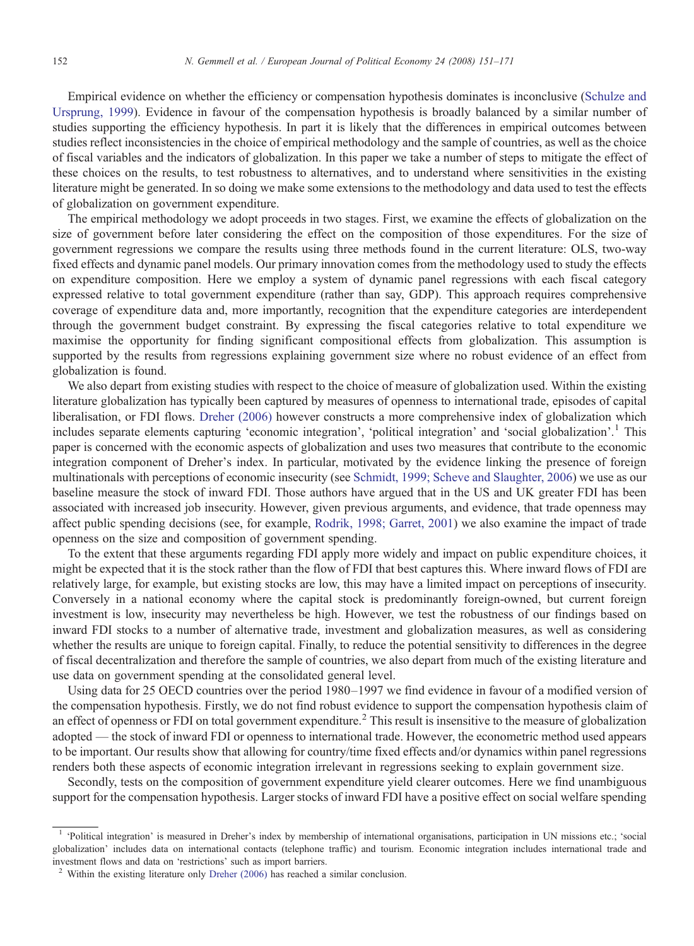Empirical evidence on whether the efficiency or compensation hypothesis dominates is inconclusive [\(Schulze and](#page--1-0) [Ursprung, 1999\)](#page--1-0). Evidence in favour of the compensation hypothesis is broadly balanced by a similar number of studies supporting the efficiency hypothesis. In part it is likely that the differences in empirical outcomes between studies reflect inconsistencies in the choice of empirical methodology and the sample of countries, as well as the choice of fiscal variables and the indicators of globalization. In this paper we take a number of steps to mitigate the effect of these choices on the results, to test robustness to alternatives, and to understand where sensitivities in the existing literature might be generated. In so doing we make some extensions to the methodology and data used to test the effects of globalization on government expenditure.

The empirical methodology we adopt proceeds in two stages. First, we examine the effects of globalization on the size of government before later considering the effect on the composition of those expenditures. For the size of government regressions we compare the results using three methods found in the current literature: OLS, two-way fixed effects and dynamic panel models. Our primary innovation comes from the methodology used to study the effects on expenditure composition. Here we employ a system of dynamic panel regressions with each fiscal category expressed relative to total government expenditure (rather than say, GDP). This approach requires comprehensive coverage of expenditure data and, more importantly, recognition that the expenditure categories are interdependent through the government budget constraint. By expressing the fiscal categories relative to total expenditure we maximise the opportunity for finding significant compositional effects from globalization. This assumption is supported by the results from regressions explaining government size where no robust evidence of an effect from globalization is found.

We also depart from existing studies with respect to the choice of measure of globalization used. Within the existing literature globalization has typically been captured by measures of openness to international trade, episodes of capital liberalisation, or FDI flows. [Dreher \(2006\)](#page--1-0) however constructs a more comprehensive index of globalization which includes separate elements capturing 'economic integration', 'political integration' and 'social globalization'. <sup>1</sup> This paper is concerned with the economic aspects of globalization and uses two measures that contribute to the economic integration component of Dreher's index. In particular, motivated by the evidence linking the presence of foreign multinationals with perceptions of economic insecurity (see [Schmidt, 1999; Scheve and Slaughter, 2006](#page--1-0)) we use as our baseline measure the stock of inward FDI. Those authors have argued that in the US and UK greater FDI has been associated with increased job insecurity. However, given previous arguments, and evidence, that trade openness may affect public spending decisions (see, for example, [Rodrik, 1998; Garret, 2001\)](#page--1-0) we also examine the impact of trade openness on the size and composition of government spending.

To the extent that these arguments regarding FDI apply more widely and impact on public expenditure choices, it might be expected that it is the stock rather than the flow of FDI that best captures this. Where inward flows of FDI are relatively large, for example, but existing stocks are low, this may have a limited impact on perceptions of insecurity. Conversely in a national economy where the capital stock is predominantly foreign-owned, but current foreign investment is low, insecurity may nevertheless be high. However, we test the robustness of our findings based on inward FDI stocks to a number of alternative trade, investment and globalization measures, as well as considering whether the results are unique to foreign capital. Finally, to reduce the potential sensitivity to differences in the degree of fiscal decentralization and therefore the sample of countries, we also depart from much of the existing literature and use data on government spending at the consolidated general level.

Using data for 25 OECD countries over the period 1980–1997 we find evidence in favour of a modified version of the compensation hypothesis. Firstly, we do not find robust evidence to support the compensation hypothesis claim of an effect of openness or FDI on total government expenditure.<sup>2</sup> This result is insensitive to the measure of globalization adopted — the stock of inward FDI or openness to international trade. However, the econometric method used appears to be important. Our results show that allowing for country/time fixed effects and/or dynamics within panel regressions renders both these aspects of economic integration irrelevant in regressions seeking to explain government size.

Secondly, tests on the composition of government expenditure yield clearer outcomes. Here we find unambiguous support for the compensation hypothesis. Larger stocks of inward FDI have a positive effect on social welfare spending

<sup>&</sup>lt;sup>1</sup> 'Political integration' is measured in Dreher's index by membership of international organisations, participation in UN missions etc.; 'social globalization' includes data on international contacts (telephone traffic) and tourism. Economic integration includes international trade and investment flows and data on 'restrictions' such as import barriers.

<sup>&</sup>lt;sup>2</sup> Within the existing literature only [Dreher \(2006\)](#page--1-0) has reached a similar conclusion.